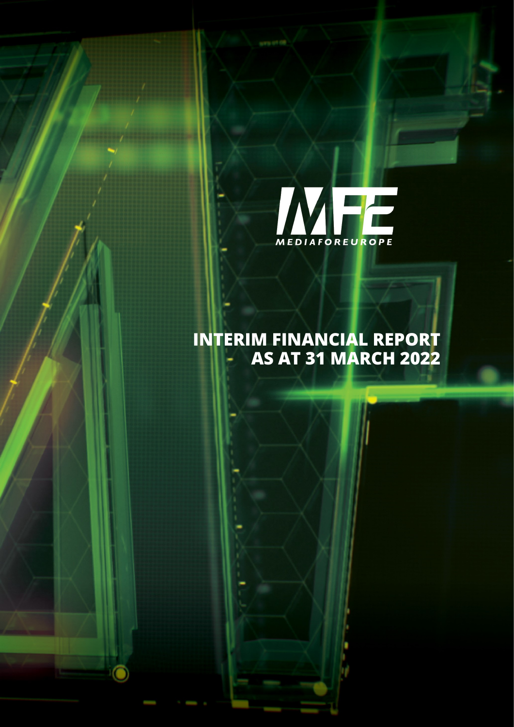

## **INTERIM FINANCIAL REPORT AS AT 31 MARCH 2022**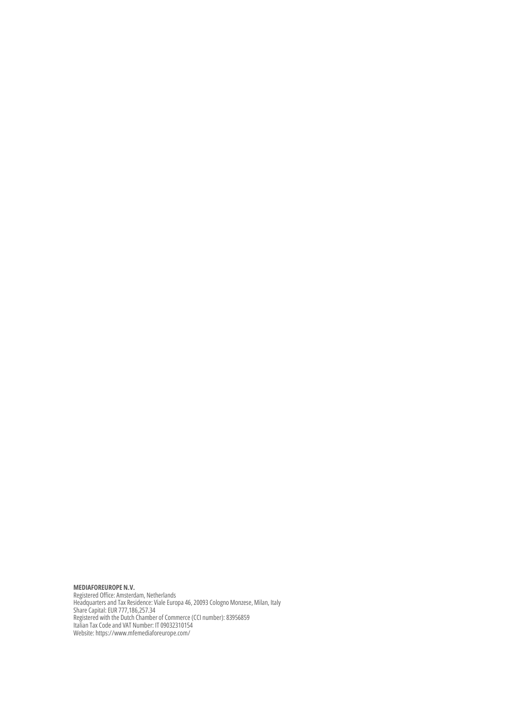**MEDIAFOREUROPE N.V.** Registered Office: Amsterdam, Netherlands Headquarters and Tax Residence: Viale Europa 46, 20093 Cologno Monzese, Milan, Italy Share Capital: EUR 777,186,257.34 Registered with the Dutch Chamber of Commerce (CCI number): 83956859 Italian Tax Code and VAT Number: IT 09032310154 Website: https://www.mfemediaforeurope.com/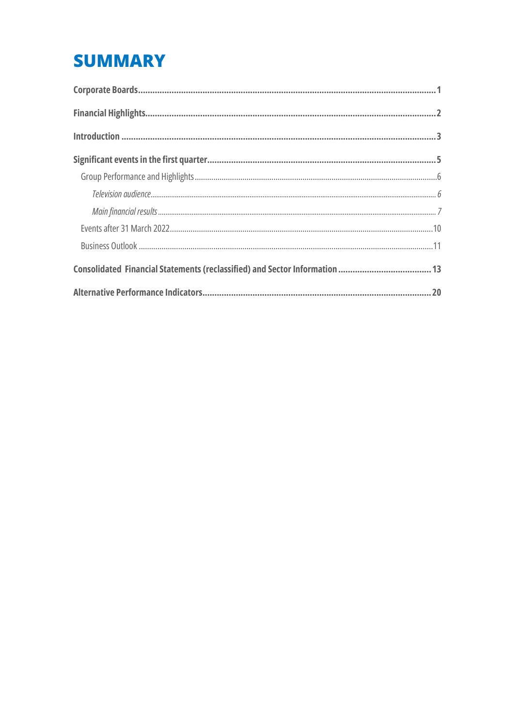# **SUMMARY**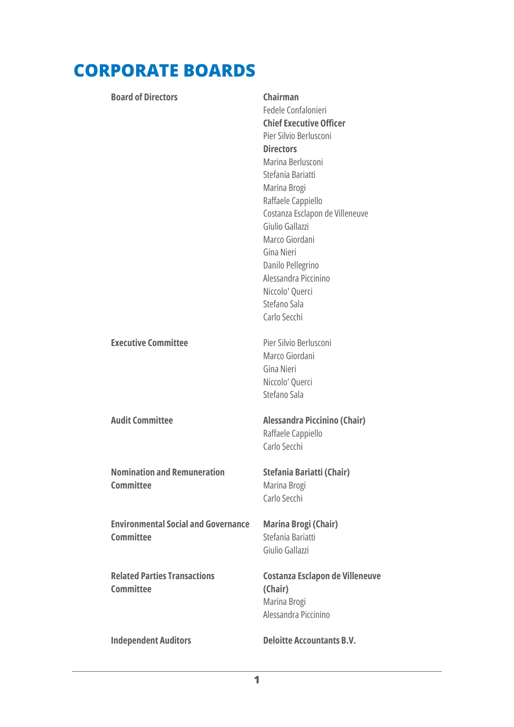# <span id="page-4-0"></span>**CORPORATE BOARDS**

#### **Board of Directors Chairman**

Fedele Confalonieri **Chief Executive Officer** Pier Silvio Berlusconi **Directors** Marina Berlusconi Stefania Bariatti Marina Brogi Raffaele Cappiello Costanza Esclapon de Villeneuve Giulio Gallazzi Marco Giordani Gina Nieri Danilo Pellegrino Alessandra Piccinino Niccolo' Querci Stefano Sala Carlo Secchi

**Executive Committee** Pier Silvio Berlusconi

**Nomination and Remuneration Committee**

**Environmental Social and Governance Committee**

**Related Parties Transactions Committee**

### **Audit Committee Alessandra Piccinino (Chair)** Raffaele Cappiello Carlo Secchi

**Stefania Bariatti (Chair)** Marina Brogi Carlo Secchi

Marco Giordani Gina Nieri Niccolo' Querci Stefano Sala

**Marina Brogi (Chair)** Stefania Bariatti Giulio Gallazzi

**Costanza Esclapon de Villeneuve (Chair)** Marina Brogi Alessandra Piccinino

#### **Independent Auditors Deloitte Accountants B.V.**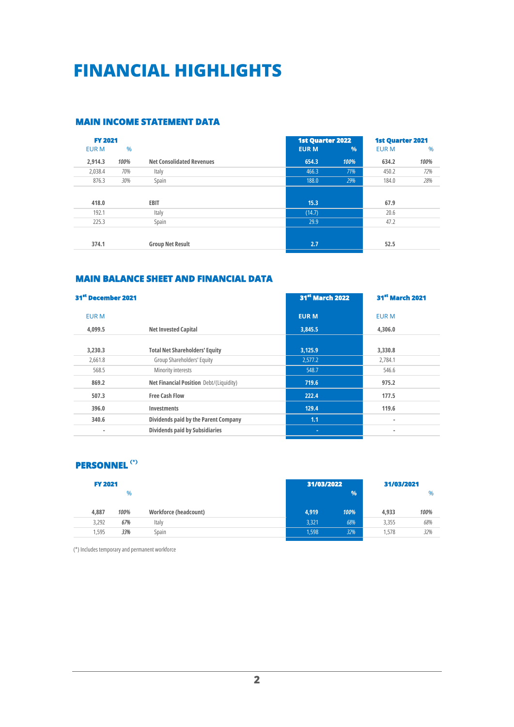# <span id="page-5-0"></span>**FINANCIAL HIGHLIGHTS**

#### **MAIN INCOME STATEMENT DATA**

| <b>FY 2021</b> |               |                                  |              | <b>1st Quarter 2022</b> |              | <b>1st Quarter 2021</b> |  |
|----------------|---------------|----------------------------------|--------------|-------------------------|--------------|-------------------------|--|
| <b>EUR M</b>   | $\frac{0}{6}$ |                                  | <b>EUR M</b> | $\frac{0}{0}$           | <b>EUR M</b> | $\%$                    |  |
| 2.914.3        | 100%          | <b>Net Consolidated Revenues</b> | 654.3        | 100%                    | 634.2        | 100%                    |  |
| 2,038.4        | 70%           | Italy                            | 466.3        | 71%                     | 450.2        | 72%                     |  |
| 876.3          | 30%           | Spain                            | 188.0        | 29%                     | 184.0        | 28%                     |  |
| 418.0          |               | <b>EBIT</b>                      | 15.3         |                         | 67.9         |                         |  |
| 192.1          |               | Italy                            | (14.7)       |                         | 20.6         |                         |  |
| 225.3          |               | Spain                            | 29.9         |                         | 47.2         |                         |  |
|                |               |                                  |              |                         |              |                         |  |
| 374.1          |               | <b>Group Net Result</b>          | 2.7          |                         | 52.5         |                         |  |

#### **MAIN BALANCE SHEET AND FINANCIAL DATA**

| 31 <sup>st</sup> December 2021 |                                         | 31 <sup>st</sup> March 2022 | <b>31st March 2021</b> |
|--------------------------------|-----------------------------------------|-----------------------------|------------------------|
| <b>EUR M</b>                   |                                         | <b>EUR M</b>                | <b>EUR M</b>           |
| 4.099.5                        | <b>Net Invested Capital</b>             | 3,845.5                     | 4,306.0                |
| 3,230.3                        | <b>Total Net Shareholders' Equity</b>   | 3,125.9                     | 3,330.8                |
| 2.661.8                        | Group Shareholders' Equity              | 2.577.2                     | 2,784.1                |
| 568.5                          | Minority interests                      | 548.7                       | 546.6                  |
| 869.2                          | Net Financial Position Debt/(Liquidity) | 719.6                       | 975.2                  |
| 507.3                          | <b>Free Cash Flow</b>                   | 222.4                       | 177.5                  |
| 396.0                          | <b>Investments</b>                      | 129.4                       | 119.6                  |
| 340.6                          | Dividends paid by the Parent Company    | 1.1                         | $\blacksquare$         |
| $\blacksquare$                 | <b>Dividends paid by Subsidiaries</b>   | $\blacksquare$              | $\blacksquare$         |

#### **PERSONNEL (\*)**

| <b>FY 2021</b> |       |      | 31/03/2022            |       |      |       |      |
|----------------|-------|------|-----------------------|-------|------|-------|------|
|                |       | %    |                       |       | %    |       | %    |
|                | 4,887 | 100% | Workforce (headcount) | 4,919 | 100% | 4.933 | 100% |
|                | 3.292 | 67%  | Italy                 | 3,321 | 68%  | 3,355 | 68%  |
|                | .595  | 33%  | Spain                 | 1,598 | 32%  | 1.578 | 32%  |
|                |       |      |                       |       |      |       |      |

(\*) Includes temporary and permanent workforce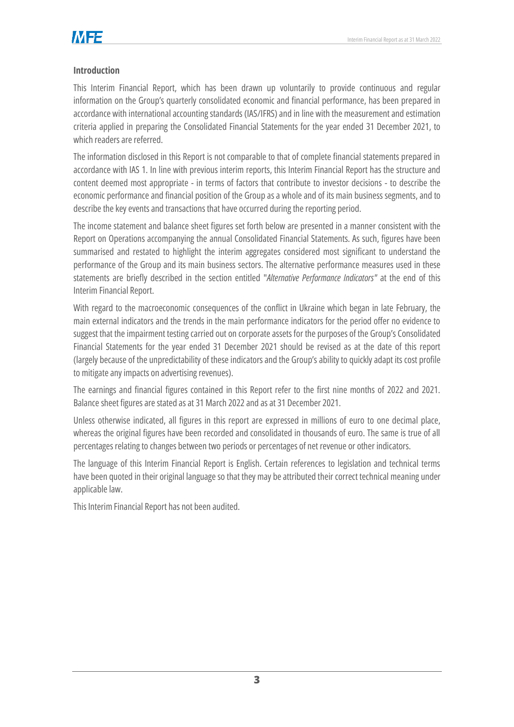

#### <span id="page-6-0"></span>**Introduction**

This Interim Financial Report, which has been drawn up voluntarily to provide continuous and regular information on the Group's quarterly consolidated economic and financial performance, has been prepared in accordance with international accounting standards (IAS/IFRS) and in line with the measurement and estimation criteria applied in preparing the Consolidated Financial Statements for the year ended 31 December 2021, to which readers are referred.

The information disclosed in this Report is not comparable to that of complete financial statements prepared in accordance with IAS 1. In line with previous interim reports, this Interim Financial Report has the structure and content deemed most appropriate - in terms of factors that contribute to investor decisions - to describe the economic performance and financial position of the Group as a whole and of its main business segments, and to describe the key events and transactions that have occurred during the reporting period.

The income statement and balance sheet figures set forth below are presented in a manner consistent with the Report on Operations accompanying the annual Consolidated Financial Statements. As such, figures have been summarised and restated to highlight the interim aggregates considered most significant to understand the performance of the Group and its main business sectors. The alternative performance measures used in these statements are briefly described in the section entitled "*Alternative Performance Indicators"* at the end of this Interim Financial Report.

With regard to the macroeconomic consequences of the conflict in Ukraine which began in late February, the main external indicators and the trends in the main performance indicators for the period offer no evidence to suggest that the impairment testing carried out on corporate assets for the purposes of the Group's Consolidated Financial Statements for the year ended 31 December 2021 should be revised as at the date of this report (largely because of the unpredictability of these indicators and the Group's ability to quickly adapt its cost profile to mitigate any impacts on advertising revenues).

The earnings and financial figures contained in this Report refer to the first nine months of 2022 and 2021. Balance sheet figures are stated as at 31 March 2022 and as at 31 December 2021.

Unless otherwise indicated, all figures in this report are expressed in millions of euro to one decimal place, whereas the original figures have been recorded and consolidated in thousands of euro. The same is true of all percentages relating to changes between two periods or percentages of net revenue or other indicators.

The language of this Interim Financial Report is English. Certain references to legislation and technical terms have been quoted in their original language so that they may be attributed their correct technical meaning under applicable law.

This Interim Financial Report has not been audited.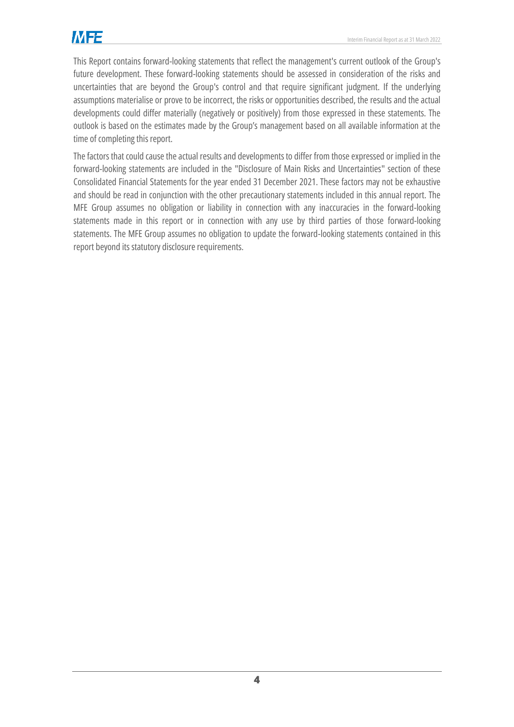This Report contains forward-looking statements that reflect the management's current outlook of the Group's future development. These forward-looking statements should be assessed in consideration of the risks and uncertainties that are beyond the Group's control and that require significant judgment. If the underlying assumptions materialise or prove to be incorrect, the risks or opportunities described, the results and the actual developments could differ materially (negatively or positively) from those expressed in these statements. The outlook is based on the estimates made by the Group's management based on all available information at the time of completing this report.

The factors that could cause the actual results and developments to differ from those expressed or implied in the forward-looking statements are included in the "Disclosure of Main Risks and Uncertainties" section of these Consolidated Financial Statements for the year ended 31 December 2021. These factors may not be exhaustive and should be read in conjunction with the other precautionary statements included in this annual report. The MFE Group assumes no obligation or liability in connection with any inaccuracies in the forward-looking statements made in this report or in connection with any use by third parties of those forward-looking statements. The MFE Group assumes no obligation to update the forward-looking statements contained in this report beyond its statutory disclosure requirements.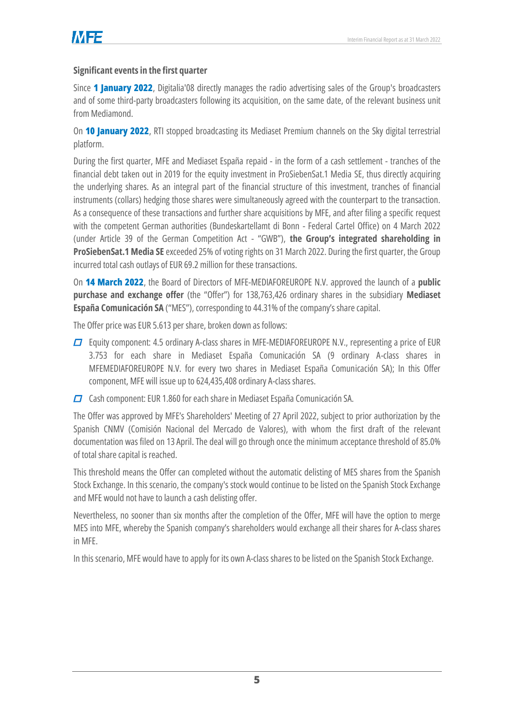### <span id="page-8-0"></span>**Significant events in the first quarter**

Since **1 January 2022**, Digitalia'08 directly manages the radio advertising sales of the Group's broadcasters and of some third-party broadcasters following its acquisition, on the same date, of the relevant business unit from Mediamond.

On **10 January 2022**, RTI stopped broadcasting its Mediaset Premium channels on the Sky digital terrestrial platform.

During the first quarter, MFE and Mediaset España repaid - in the form of a cash settlement - tranches of the financial debt taken out in 2019 for the equity investment in ProSiebenSat.1 Media SE, thus directly acquiring the underlying shares. As an integral part of the financial structure of this investment, tranches of financial instruments (collars) hedging those shares were simultaneously agreed with the counterpart to the transaction. As a consequence of these transactions and further share acquisitions by MFE, and after filing a specific request with the competent German authorities (Bundeskartellamt di Bonn - Federal Cartel Office) on 4 March 2022 (under Article 39 of the German Competition Act - "GWB"), **the Group's integrated shareholding in ProSiebenSat.1 Media SE** exceeded 25% of voting rights on 31 March 2022. During the first quarter, the Group incurred total cash outlays of EUR 69.2 million for these transactions.

On **14 March 2022**, the Board of Directors of MFE-MEDIAFOREUROPE N.V. approved the launch of a **public purchase and exchange offer** (the "Offer") for 138,763,426 ordinary shares in the subsidiary **Mediaset España Comunicación SA** ("MES"), corresponding to 44.31% of the company's share capital.

The Offer price was EUR 5.613 per share, broken down as follows:

- $\Box$  Equity component: 4.5 ordinary A-class shares in MFE-MEDIAFOREUROPE N.V., representing a price of EUR 3.753 for each share in Mediaset España Comunicación SA (9 ordinary A-class shares in MFEMEDIAFOREUROPE N.V. for every two shares in Mediaset España Comunicación SA); In this Offer component, MFE will issue up to 624,435,408 ordinary A-class shares.
- $\Box$  Cash component: EUR 1.860 for each share in Mediaset España Comunicación SA.

The Offer was approved by MFE's Shareholders' Meeting of 27 April 2022, subject to prior authorization by the Spanish CNMV (Comisión Nacional del Mercado de Valores), with whom the first draft of the relevant documentation was filed on 13 April. The deal will go through once the minimum acceptance threshold of 85.0% of total share capital is reached.

This threshold means the Offer can completed without the automatic delisting of MES shares from the Spanish Stock Exchange. In this scenario, the company's stock would continue to be listed on the Spanish Stock Exchange and MFE would not have to launch a cash delisting offer.

Nevertheless, no sooner than six months after the completion of the Offer, MFE will have the option to merge MES into MFE, whereby the Spanish company's shareholders would exchange all their shares for A-class shares in MFE.

In this scenario, MFE would have to apply for its own A-class shares to be listed on the Spanish Stock Exchange.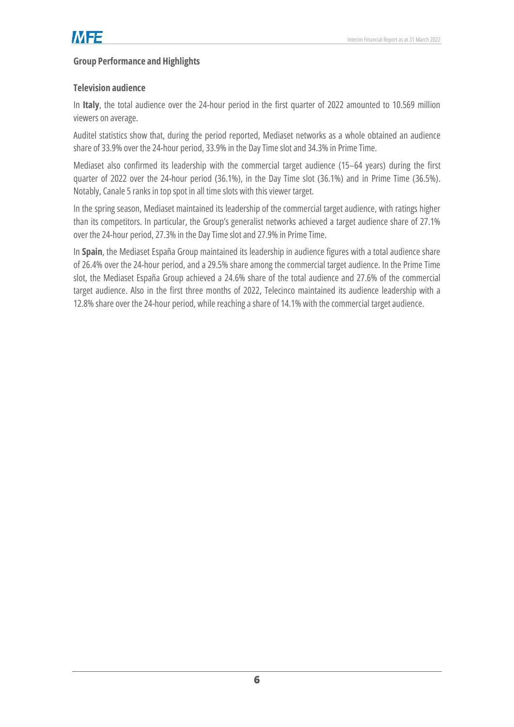### <span id="page-9-0"></span>**Group Performance and Highlights**

#### <span id="page-9-1"></span>**Television audience**

In **Italy**, the total audience over the 24-hour period in the first quarter of 2022 amounted to 10.569 million viewers on average.

Auditel statistics show that, during the period reported, Mediaset networks as a whole obtained an audience share of 33.9% over the 24-hour period, 33.9% in the Day Time slot and 34.3% in Prime Time.

Mediaset also confirmed its leadership with the commercial target audience (15–64 years) during the first quarter of 2022 over the 24-hour period (36.1%), in the Day Time slot (36.1%) and in Prime Time (36.5%). Notably, Canale 5 ranks in top spot in all time slots with this viewer target.

In the spring season, Mediaset maintained its leadership of the commercial target audience, with ratings higher than its competitors. In particular, the Group's generalist networks achieved a target audience share of 27.1% over the 24-hour period, 27.3% in the Day Time slot and 27.9% in Prime Time.

In **Spain**, the Mediaset España Group maintained its leadership in audience figures with a total audience share of 26.4% over the 24-hour period, and a 29.5% share among the commercial target audience. In the Prime Time slot, the Mediaset España Group achieved a 24.6% share of the total audience and 27.6% of the commercial target audience. Also in the first three months of 2022, Telecinco maintained its audience leadership with a 12.8% share over the 24-hour period, while reaching a share of 14.1% with the commercial target audience.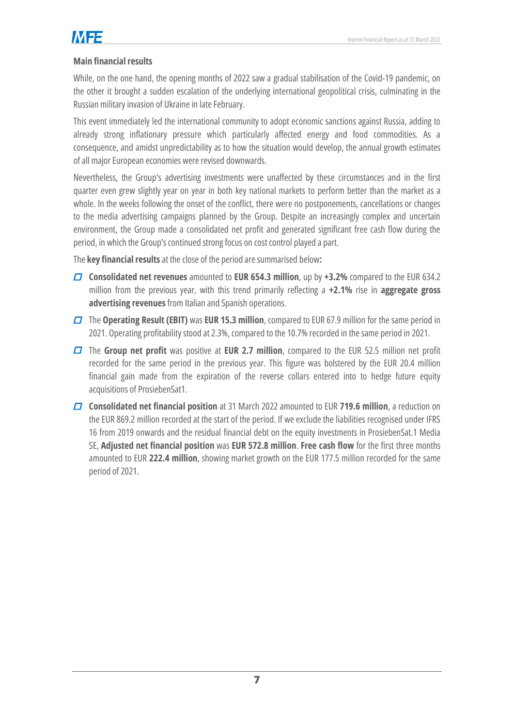#### <span id="page-10-0"></span>**Main financial results**

While, on the one hand, the opening months of 2022 saw a gradual stabilisation of the Covid-19 pandemic, on the other it brought a sudden escalation of the underlying international geopolitical crisis, culminating in the Russian military invasion of Ukraine in late February.

This event immediately led the international community to adopt economic sanctions against Russia, adding to already strong inflationary pressure which particularly affected energy and food commodities. As a consequence, and amidst unpredictability as to how the situation would develop, the annual growth estimates of all major European economies were revised downwards.

Nevertheless, the Group's advertising investments were unaffected by these circumstances and in the first quarter even grew slightly year on year in both key national markets to perform better than the market as a whole. In the weeks following the onset of the conflict, there were no postponements, cancellations or changes to the media advertising campaigns planned by the Group. Despite an increasingly complex and uncertain environment, the Group made a consolidated net profit and generated significant free cash flow during the period, in which the Group's continued strong focus on cost control played a part.

The **key financial results** at the close of the period are summarised below**:**

- **Consolidated net revenues** amounted to **EUR 654.3 million**, up by **+3.2%** compared to the EUR 634.2 million from the previous year, with this trend primarily reflecting a **+2.1%** rise in **aggregate gross advertising revenues**from Italian and Spanish operations.
- The **Operating Result (EBIT)** was **EUR 15.3 million**, compared to EUR 67.9 million for the same period in 2021. Operating profitability stood at 2.3%, compared to the 10.7% recorded in the same period in 2021.
- The **Group net profit** was positive at **EUR 2.7 million**, compared to the EUR 52.5 million net profit recorded for the same period in the previous year. This figure was bolstered by the EUR 20.4 million financial gain made from the expiration of the reverse collars entered into to hedge future equity acquisitions of ProsiebenSat1.
- **Consolidated net financial position** at 31 March 2022 amounted to EUR **719.6 million**, a reduction on the EUR 869.2 million recorded at the start of the period. If we exclude the liabilities recognised under IFRS 16 from 2019 onwards and the residual financial debt on the equity investments in ProsiebenSat.1 Media SE, **Adjusted net financial position** was **EUR 572.8 million**. **Free cash flow** for the first three months amounted to EUR **222.4 million**, showing market growth on the EUR 177.5 million recorded for the same period of 2021.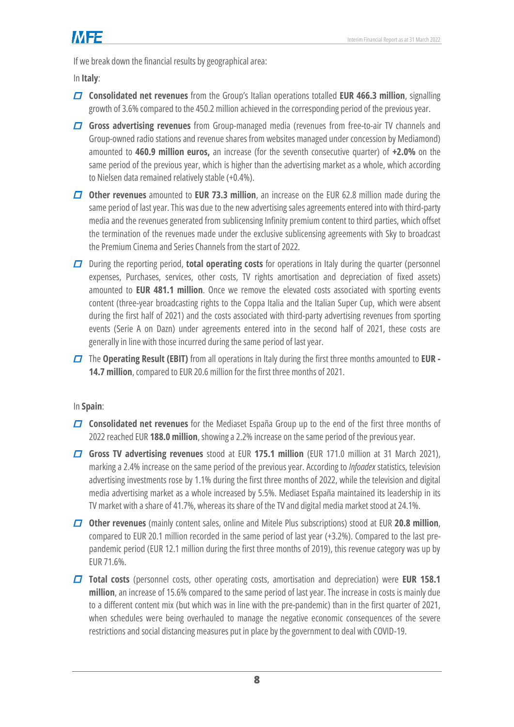If we break down the financial results by geographical area:

In **Italy**:

- **Consolidated net revenues** from the Group's Italian operations totalled **EUR 466.3 million**, signalling growth of 3.6% compared to the 450.2 million achieved in the corresponding period of the previous year.
- **Gross advertising revenues** from Group-managed media (revenues from free-to-air TV channels and Group-owned radio stations and revenue shares from websites managed under concession by Mediamond) amounted to **460.9 million euros,** an increase (for the seventh consecutive quarter) of **+2.0%** on the same period of the previous year, which is higher than the advertising market as a whole, which according to Nielsen data remained relatively stable (+0.4%).
- **Other revenues** amounted to **EUR 73.3 million**, an increase on the EUR 62.8 million made during the same period of last year. This was due to the new advertising sales agreements entered into with third-party media and the revenues generated from sublicensing Infinity premium content to third parties, which offset the termination of the revenues made under the exclusive sublicensing agreements with Sky to broadcast the Premium Cinema and Series Channels from the start of 2022.
- During the reporting period, **total operating costs** for operations in Italy during the quarter (personnel expenses, Purchases, services, other costs, TV rights amortisation and depreciation of fixed assets) amounted to **EUR 481.1 million**. Once we remove the elevated costs associated with sporting events content (three-year broadcasting rights to the Coppa Italia and the Italian Super Cup, which were absent during the first half of 2021) and the costs associated with third-party advertising revenues from sporting events (Serie A on Dazn) under agreements entered into in the second half of 2021, these costs are generally in line with those incurred during the same period of last year.
- The **Operating Result (EBIT)** from all operations in Italy during the first three months amounted to **EUR - 14.7 million**, compared to EUR 20.6 million for the first three months of 2021.

In **Spain**:

- **Consolidated net revenues** for the Mediaset España Group up to the end of the first three months of 2022 reached EUR **188.0 million**, showing a 2.2% increase on the same period of the previous year.
- **Gross TV advertising revenues** stood at EUR **175.1 million** (EUR 171.0 million at 31 March 2021), marking a 2.4% increase on the same period of the previous year. According to *Infoadex* statistics, television advertising investments rose by 1.1% during the first three months of 2022, while the television and digital media advertising market as a whole increased by 5.5%. Mediaset España maintained its leadership in its TV market with a share of 41.7%, whereas its share of the TV and digital media market stood at 24.1%.
- **Other revenues** (mainly content sales, online and Mitele Plus subscriptions) stood at EUR **20.8 million**, compared to EUR 20.1 million recorded in the same period of last year (+3.2%). Compared to the last prepandemic period (EUR 12.1 million during the first three months of 2019), this revenue category was up by EUR 71.6%.
- **Total costs** (personnel costs, other operating costs, amortisation and depreciation) were **EUR 158.1 million**, an increase of 15.6% compared to the same period of last year. The increase in costs is mainly due to a different content mix (but which was in line with the pre-pandemic) than in the first quarter of 2021, when schedules were being overhauled to manage the negative economic consequences of the severe restrictions and social distancing measures put in place by the government to deal with COVID-19.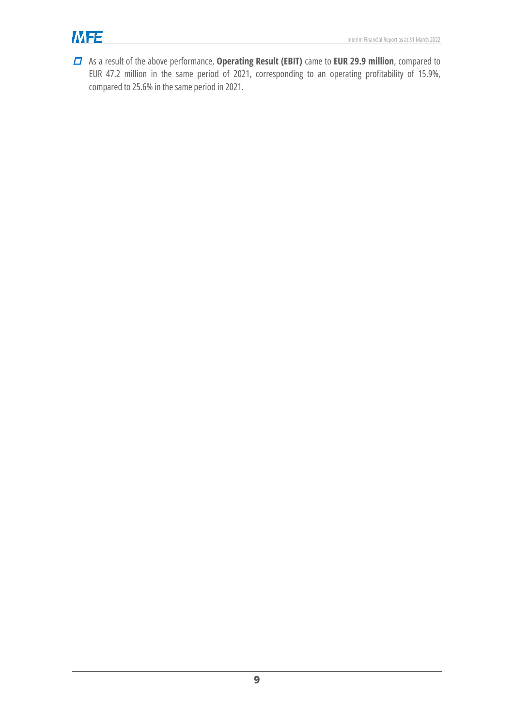# **MFE**

As a result of the above performance, **Operating Result (EBIT)** came to **EUR 29.9 million**, compared to EUR 47.2 million in the same period of 2021, corresponding to an operating profitability of 15.9%, compared to 25.6% in the same period in 2021.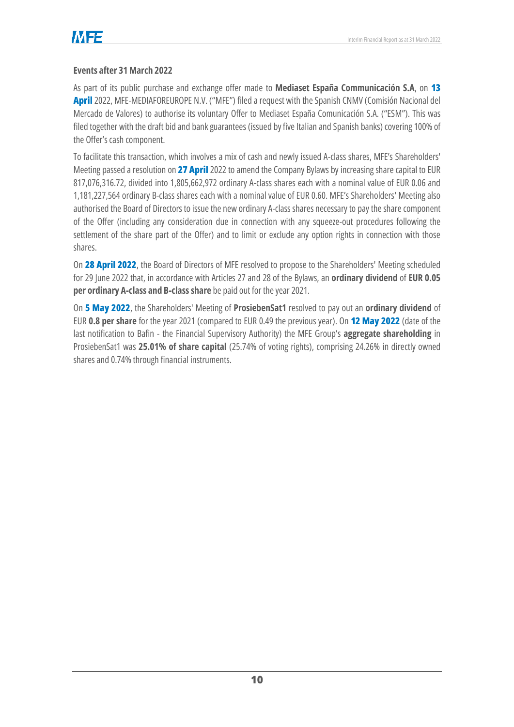### <span id="page-13-0"></span>**Events after 31 March 2022**

As part of its public purchase and exchange offer made to **Mediaset España Communicación S.A**, on **13 April** 2022, MFE-MEDIAFOREUROPE N.V. ("MFE") filed a request with the Spanish CNMV (Comisión Nacional del Mercado de Valores) to authorise its voluntary Offer to Mediaset España Comunicación S.A. ("ESM"). This was filed together with the draft bid and bank guarantees (issued by five Italian and Spanish banks) covering 100% of the Offer's cash component.

To facilitate this transaction, which involves a mix of cash and newly issued A-class shares, MFE's Shareholders' Meeting passed a resolution on **27 April** 2022 to amend the Company Bylaws by increasing share capital to EUR 817,076,316.72, divided into 1,805,662,972 ordinary A-class shares each with a nominal value of EUR 0.06 and 1,181,227,564 ordinary B-class shares each with a nominal value of EUR 0.60. MFE's Shareholders' Meeting also authorised the Board of Directors to issue the new ordinary A-class shares necessary to pay the share component of the Offer (including any consideration due in connection with any squeeze-out procedures following the settlement of the share part of the Offer) and to limit or exclude any option rights in connection with those shares.

On **28 April 2022**, the Board of Directors of MFE resolved to propose to the Shareholders' Meeting scheduled for 29 June 2022 that, in accordance with Articles 27 and 28 of the Bylaws, an **ordinary dividend** of **EUR 0.05 per ordinary A-class and B-class share** be paid out for the year 2021.

On **5 May 2022**, the Shareholders' Meeting of **ProsiebenSat1** resolved to pay out an **ordinary dividend** of EUR **0.8 per share** for the year 2021 (compared to EUR 0.49 the previous year). On **12 May 2022** (date of the last notification to Bafin - the Financial Supervisory Authority) the MFE Group's **aggregate shareholding** in ProsiebenSat1 was **25.01% of share capital** (25.74% of voting rights), comprising 24.26% in directly owned shares and 0.74% through financial instruments.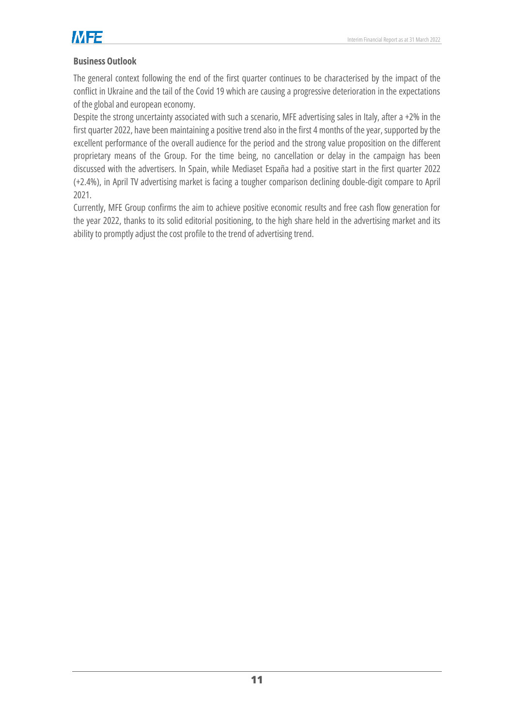

#### <span id="page-14-0"></span>**Business Outlook**

The general context following the end of the first quarter continues to be characterised by the impact of the conflict in Ukraine and the tail of the Covid 19 which are causing a progressive deterioration in the expectations of the global and european economy.

Despite the strong uncertainty associated with such a scenario, MFE advertising sales in Italy, after a +2% in the first quarter 2022, have been maintaining a positive trend also in the first 4 months of the year, supported by the excellent performance of the overall audience for the period and the strong value proposition on the different proprietary means of the Group. For the time being, no cancellation or delay in the campaign has been discussed with the advertisers. In Spain, while Mediaset España had a positive start in the first quarter 2022 (+2.4%), in April TV advertising market is facing a tougher comparison declining double-digit compare to April 2021.

Currently, MFE Group confirms the aim to achieve positive economic results and free cash flow generation for the year 2022, thanks to its solid editorial positioning, to the high share held in the advertising market and its ability to promptly adjust the cost profile to the trend of advertising trend.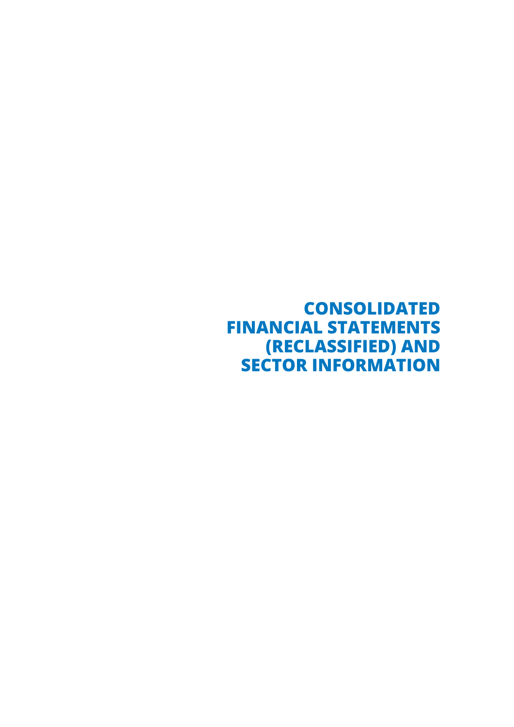<span id="page-16-0"></span>**CONSOLIDATED FINANCIAL STATEMENTS (RECLASSIFIED) AND SECTOR INFORMATION**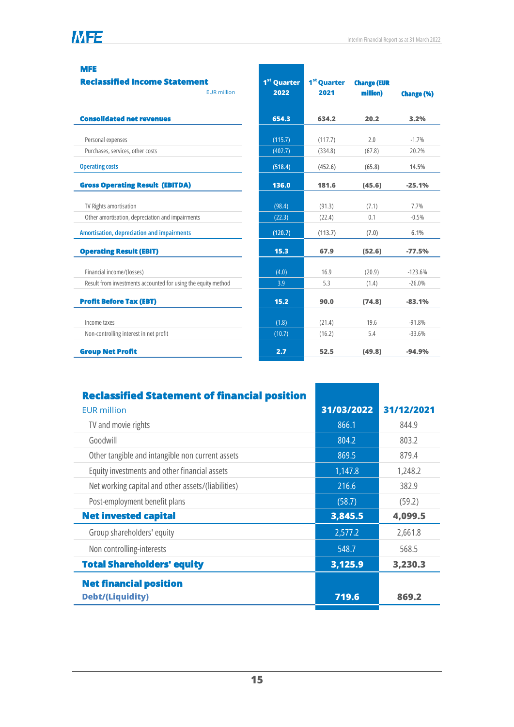#### **MFE**

| <b>Reclassified Income Statement</b><br><b>EUR</b> million    | 1 <sup>st</sup> Quarter<br>2022 | 1 <sup>st</sup> Quarter<br>2021 | <b>Change (EUR</b><br>million) | <b>Change (%)</b> |
|---------------------------------------------------------------|---------------------------------|---------------------------------|--------------------------------|-------------------|
| <b>Consolidated net revenues</b>                              | 654.3                           | 634.2                           | 20.2                           | 3.2%              |
| Personal expenses                                             | (115.7)                         | (117.7)                         | 2.0                            | $-1.7%$           |
| Purchases, services, other costs                              | (402.7)                         | (334.8)                         | (67.8)                         | 20.2%             |
| <b>Operating costs</b>                                        | (518.4)                         | (452.6)                         | (65.8)                         | 14.5%             |
| <b>Gross Operating Result (EBITDA)</b>                        | 136.0                           | 181.6                           | (45.6)                         | $-25.1%$          |
| TV Rights amortisation                                        | (98.4)                          | (91.3)                          | (7.1)                          | 7.7%              |
| Other amortisation, depreciation and impairments              | (22.3)                          | (22.4)                          | 0.1                            | $-0.5%$           |
| Amortisation, depreciation and impairments                    | (120.7)                         | (113.7)                         | (7.0)                          | 6.1%              |
| <b>Operating Result (EBIT)</b>                                | 15.3                            | 67.9                            | (52.6)                         | $-77.5%$          |
| Financial income/(losses)                                     | (4.0)                           | 16.9                            | (20.9)                         | $-123.6%$         |
| Result from investments accounted for using the equity method | 3.9                             | 5.3                             | (1.4)                          | $-26.0%$          |
| <b>Profit Before Tax (EBT)</b>                                | 15.2                            | 90.0                            | (74.8)                         | $-83.1%$          |
| Income taxes                                                  | (1.8)                           | (21.4)                          | 19.6                           | $-91.8%$          |
| Non-controlling interest in net profit                        | (10.7)                          | (16.2)                          | 5.4                            | $-33.6%$          |
| <b>Group Net Profit</b>                                       | 2.7                             | 52.5                            | (49.8)                         | $-94.9%$          |

| <b>Reclassified Statement of financial position</b> |            |            |
|-----------------------------------------------------|------------|------------|
| <b>EUR million</b>                                  | 31/03/2022 | 31/12/2021 |
| TV and movie rights                                 | 866.1      | 844.9      |
| Goodwill                                            | 804.2      | 803.2      |
| Other tangible and intangible non current assets    | 869.5      | 879.4      |
| Equity investments and other financial assets       | 1,147.8    | 1,248.2    |
| Net working capital and other assets/(liabilities)  | 216.6      | 382.9      |
| Post-employment benefit plans                       | (58.7)     | (59.2)     |
| <b>Net invested capital</b>                         | 3,845.5    | 4,099.5    |
| Group shareholders' equity                          | 2,577.2    | 2,661.8    |
| Non controlling-interests                           | 548.7      | 568.5      |
| <b>Total Shareholders' equity</b>                   | 3,125.9    | 3,230.3    |
| <b>Net financial position</b>                       |            |            |
| <b>Debt/(Liquidity)</b>                             | 719.6      | 869.2      |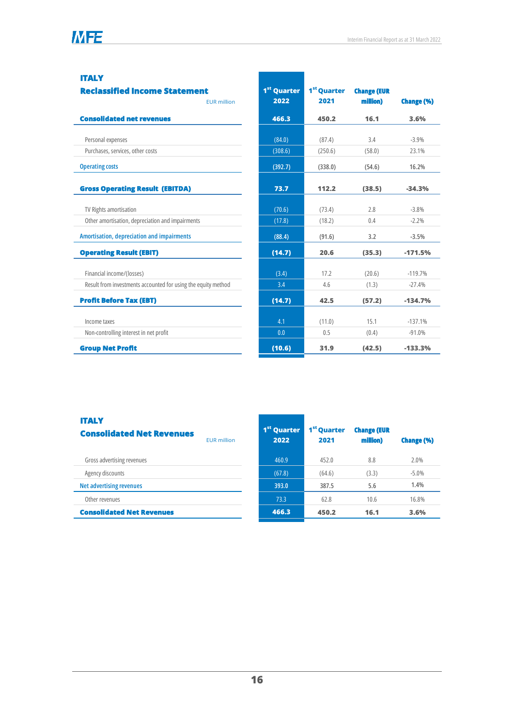#### **ITALY**

| <b>Reclassified Income Statement</b><br><b>EUR</b> million    | 1 <sup>st</sup> Quarter<br>2022 | 1 <sup>st</sup> Quarter<br>2021 | <b>Change (EUR</b><br>million) | <b>Change (%)</b> |
|---------------------------------------------------------------|---------------------------------|---------------------------------|--------------------------------|-------------------|
| <b>Consolidated net revenues</b>                              | 466.3                           | 450.2                           | 16.1                           | 3.6%              |
| Personal expenses                                             | (84.0)                          | (87.4)                          | 3.4                            | $-3.9%$           |
| Purchases, services, other costs                              | (308.6)                         | (250.6)                         | (58.0)                         | 23.1%             |
| <b>Operating costs</b>                                        | (392.7)                         | (338.0)                         | (54.6)                         | 16.2%             |
| <b>Gross Operating Result (EBITDA)</b>                        | 73.7                            | 112.2                           | (38.5)                         | $-34.3%$          |
| TV Rights amortisation                                        | (70.6)                          | (73.4)                          | 2.8                            | $-3.8%$           |
| Other amortisation, depreciation and impairments              | (17.8)                          | (18.2)                          | 0.4                            | $-2.2%$           |
| Amortisation, depreciation and impairments                    | (88.4)                          | (91.6)                          | 3.2                            | $-3.5%$           |
| <b>Operating Result (EBIT)</b>                                | (14.7)                          | 20.6                            | (35.3)                         | $-171.5%$         |
| Financial income/(losses)                                     | (3.4)                           | 17.2                            | (20.6)                         | $-119.7%$         |
| Result from investments accounted for using the equity method | 3.4                             | 4.6                             | (1.3)                          | $-27.4%$          |
| <b>Profit Before Tax (EBT)</b>                                | (14.7)                          | 42.5                            | (57.2)                         | $-134.7%$         |
| Income taxes                                                  | 4.1                             | (11.0)                          | 15.1                           | $-137.1%$         |
| Non-controlling interest in net profit                        | 0.0                             | 0.5                             | (0.4)                          | $-91.0%$          |
| <b>Group Net Profit</b>                                       | (10.6)                          | 31.9                            | (42.5)                         | $-133.3%$         |

#### **ITALY Consolidated Net Revenues** EUR million Gross advertising revenues and the control of the control of the 460.9 452.0 452.0 8.8 2.0% Agency discounts -5.0% -5.0% **Net advertising revenues 393.0 387.5 5.6 1.4%** Other revenues 16.8% and 16.8% and 16.8% and 16.8% and 16.8% and 16.8% and 16.8% and 16.8% and 16.8% and 16.8% **Consolidated Net Revenues 466.3 450.2 16.1 3.6% 1 st Quarter 2022 1 st Quarter 2021 Change (EUR million) Change (%)**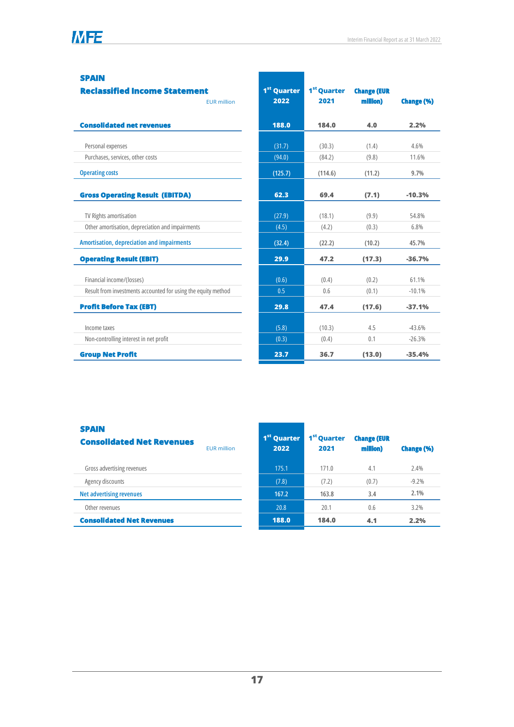#### **SPAIN**

#### **Reclassified Income Statement** EUR million **Consolidated net revenues 188.0 184.0 4.0 2.2%** Personal expenses (31.7) (30.3) (1.4) 4.6% Purchases, services, other costs (94.0) (84.2) (9.8) 11.6% **Operating costs (125.7) (114.6) (11.2) 9.7% Gross Operating Result (EBITDA) 62.3 69.4 (7.1) -10.3%** TV Rights amortisation (27.9) (18.1) (9.9) 54.8% Other amortisation, depreciation and impairments (1.5) (4.2) (0.3) 6.8% **Amortisation, depreciation and impairments (32.4) (22.2) (10.2) 45.7% Operating Result (EBIT) 29.9 47.2 (17.3) -36.7%** Financial income/(losses) 61.1% (0.6) (0.4) (0.2) 61.1% Result from investments accounted for using the equity method 0.5 0.6 0.6 (0.1) -10.1% **Profit Before Tax (EBT) 29.8 47.4 (17.6) -37.1%** Income taxes  $4.5 \t\t 43.6\%$ Non-controlling interest in net profit  $(0.3)$   $(0.4)$  0.1  $-26.3%$ **Group Net Profit 23.7 36.7 (13.0) -35.4% 1 st Quarter 2022 1 st Quarter 2021 Change (EUR million) Change (%)**

#### **SPAIN**

| -----<br><b>Consolidated Net Revenues</b> | <b>EUR</b> million | 1 <sup>st</sup> Quarter<br>2022 | 1 <sup>st</sup> Quarter<br>2021 | <b>Change (EUR</b><br>million) | <b>Change (%)</b> |
|-------------------------------------------|--------------------|---------------------------------|---------------------------------|--------------------------------|-------------------|
| Gross advertising revenues                |                    | 175.1                           | 171.0                           | 4.1                            | 2.4%              |
| Agency discounts                          |                    | (7.8)                           | (7.2)                           | (0.7)                          | $-9.2%$           |
| <b>Net advertising revenues</b>           |                    | 167.2                           | 163.8                           | 3.4                            | 2.1%              |
| Other revenues                            |                    | 20.8                            | 20.1                            | 0.6                            | 3.2%              |
| <b>Consolidated Net Revenues</b>          |                    | 188.0                           | 184.0                           | 4.1                            | 2.2%              |
|                                           |                    |                                 |                                 |                                |                   |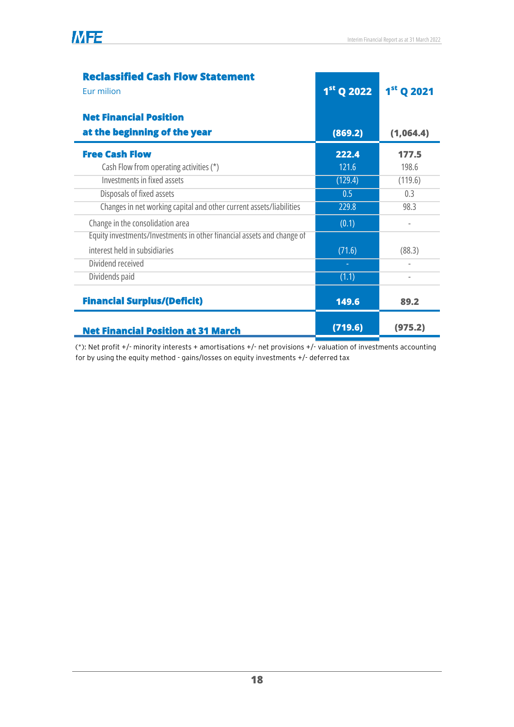| <b>Reclassified Cash Flow Statement</b>                                |              |                          |
|------------------------------------------------------------------------|--------------|--------------------------|
| Eur milion                                                             | $1st$ Q 2022 | 1st Q 2021               |
| <b>Net Financial Position</b>                                          |              |                          |
| at the beginning of the year                                           | (869.2)      | (1,064.4)                |
| <b>Free Cash Flow</b>                                                  | 222.4        | 177.5                    |
| Cash Flow from operating activities (*)                                | 121.6        | 198.6                    |
| Investments in fixed assets                                            | (129.4)      | (119.6)                  |
| Disposals of fixed assets                                              | 0.5          | 0.3                      |
| Changes in net working capital and other current assets/liabilities    | 229.8        | 98.3                     |
| Change in the consolidation area                                       | (0.1)        | $\overline{\phantom{a}}$ |
| Equity investments/Investments in other financial assets and change of |              |                          |
| interest held in subsidiaries                                          | (71.6)       | (88.3)                   |
| Dividend received                                                      |              |                          |
| Dividends paid                                                         | (1.1)        |                          |
| <b>Financial Surplus/(Deficit)</b>                                     | 149.6        | 89.2                     |
| <b>Net Financial Position at 31 March</b>                              | (719.6)      | (975.2)                  |

(\*): Net profit +/- minority interests + amortisations +/- net provisions +/- valuation of investments accounting for by using the equity method - gains/losses on equity investments +/- deferred tax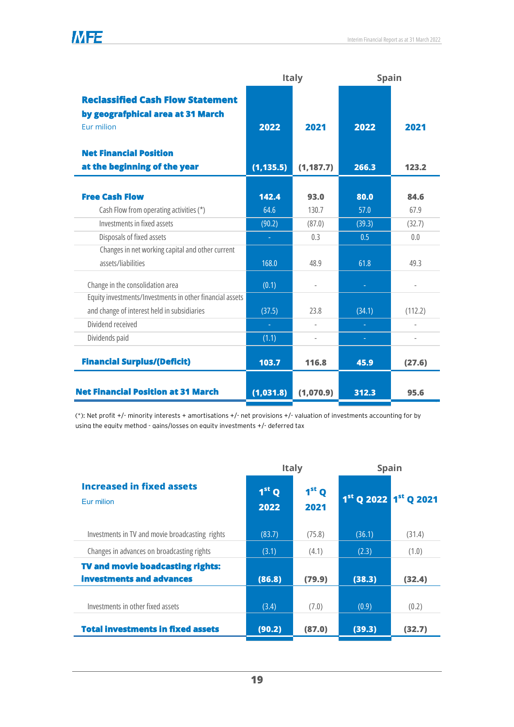|                                                                                                         | <b>Italy</b>  |               | <b>Spain</b> |              |  |
|---------------------------------------------------------------------------------------------------------|---------------|---------------|--------------|--------------|--|
| <b>Reclassified Cash Flow Statement</b><br>by geografphical area at 31 March<br>Eur milion              | 2022          | 2021          | 2022         | 2021         |  |
| <b>Net Financial Position</b>                                                                           |               |               |              |              |  |
| at the beginning of the year                                                                            | (1, 135.5)    | (1, 187.7)    | 266.3        | 123.2        |  |
| <b>Free Cash Flow</b><br>Cash Flow from operating activities (*)                                        | 142.4<br>64.6 | 93.0<br>130.7 | 80.0<br>57.0 | 84.6<br>67.9 |  |
| Investments in fixed assets                                                                             | (90.2)        | (87.0)        | (39.3)       | (32.7)       |  |
| Disposals of fixed assets                                                                               | ÷.            | 0.3           | 0.5          | 0.0          |  |
| Changes in net working capital and other current<br>assets/liabilities                                  | 168.0         | 48.9          | 61.8         | 49.3         |  |
| Change in the consolidation area                                                                        | (0.1)         |               |              |              |  |
| Equity investments/Investments in other financial assets<br>and change of interest held in subsidiaries | (37.5)        | 23.8          | (34.1)       | (112.2)      |  |
| Dividend received                                                                                       |               |               | $\sim$       |              |  |
| Dividends paid                                                                                          | (1.1)         | ÷,            | ÷            |              |  |
| <b>Financial Surplus/(Deficit)</b>                                                                      | 103.7         | 116.8         | 45.9         | (27.6)       |  |
| <b>Net Financial Position at 31 March</b>                                                               | (1,031.8)     | (1,070.9)     | 312.3        | 95.6         |  |

**MFE** 

(\*): Net profit +/- minority interests + amortisations +/- net provisions +/- valuation of investments accounting for by using the equity method - gains/losses on equity investments +/- deferred tax

|                                                                     | <b>Italy</b>    |                           | <b>Spain</b>                                  |        |  |
|---------------------------------------------------------------------|-----------------|---------------------------|-----------------------------------------------|--------|--|
| <b>Increased in fixed assets</b><br>Eur milion                      | $1st$ Q<br>2022 | 1 <sup>st</sup> Q<br>2021 | 1 <sup>st</sup> Q 2022 1 <sup>st</sup> Q 2021 |        |  |
| Investments in TV and movie broadcasting rights                     | (83.7)          | (75.8)                    | (36.1)                                        | (31.4) |  |
| Changes in advances on broadcasting rights                          | (3.1)           | (4.1)                     | (2.3)                                         | (1.0)  |  |
| <b>TV and movie boadcasting rights:</b><br>investments and advances | (86.8)          | (79.9)                    | (38.3)                                        | (32.4) |  |
| Investments in other fixed assets                                   | (3.4)           | (7.0)                     | (0.9)                                         | (0.2)  |  |
| <b>Total investments in fixed assets</b>                            | (90.2)          | (87.0)                    | (39.3)                                        | (32.7) |  |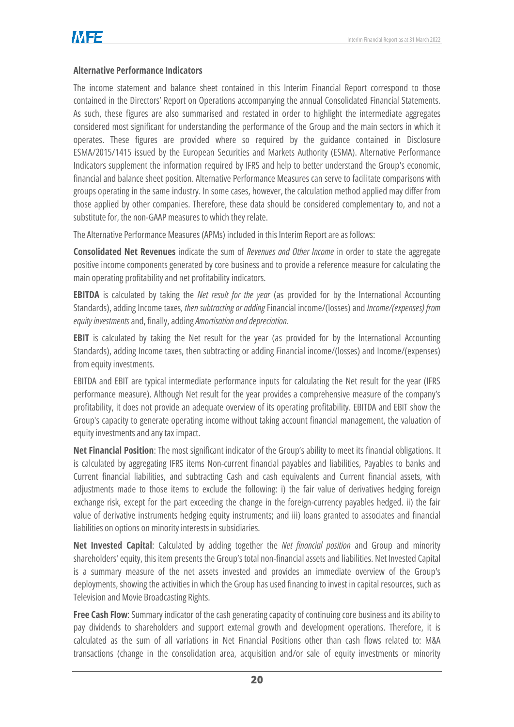### <span id="page-23-0"></span>**Alternative Performance Indicators**

The income statement and balance sheet contained in this Interim Financial Report correspond to those contained in the Directors' Report on Operations accompanying the annual Consolidated Financial Statements. As such, these figures are also summarised and restated in order to highlight the intermediate aggregates considered most significant for understanding the performance of the Group and the main sectors in which it operates. These figures are provided where so required by the guidance contained in Disclosure ESMA/2015/1415 issued by the European Securities and Markets Authority (ESMA). Alternative Performance Indicators supplement the information required by IFRS and help to better understand the Group's economic, financial and balance sheet position. Alternative Performance Measures can serve to facilitate comparisons with groups operating in the same industry. In some cases, however, the calculation method applied may differ from those applied by other companies. Therefore, these data should be considered complementary to, and not a substitute for, the non-GAAP measures to which they relate.

The Alternative Performance Measures (APMs) included in this Interim Report are as follows:

**Consolidated Net Revenues** indicate the sum of *Revenues and Other Income* in order to state the aggregate positive income components generated by core business and to provide a reference measure for calculating the main operating profitability and net profitability indicators.

**EBITDA** is calculated by taking the *Net result for the year* (as provided for by the International Accounting Standards), adding Income taxes*, then subtracting or adding* Financial income/(losses) and *Income/(expenses) from equity investments* and, finally, adding *Amortisation and depreciation.*

**EBIT** is calculated by taking the Net result for the year (as provided for by the International Accounting Standards), adding Income taxes, then subtracting or adding Financial income/(losses) and Income/(expenses) from equity investments.

EBITDA and EBIT are typical intermediate performance inputs for calculating the Net result for the year (IFRS performance measure). Although Net result for the year provides a comprehensive measure of the company's profitability, it does not provide an adequate overview of its operating profitability. EBITDA and EBIT show the Group's capacity to generate operating income without taking account financial management, the valuation of equity investments and any tax impact.

**Net Financial Position**: The most significant indicator of the Group's ability to meet its financial obligations. It is calculated by aggregating IFRS items Non-current financial payables and liabilities, Payables to banks and Current financial liabilities, and subtracting Cash and cash equivalents and Current financial assets, with adjustments made to those items to exclude the following: i) the fair value of derivatives hedging foreign exchange risk, except for the part exceeding the change in the foreign-currency payables hedged. ii) the fair value of derivative instruments hedging equity instruments; and iii) loans granted to associates and financial liabilities on options on minority interests in subsidiaries.

**Net Invested Capital**: Calculated by adding together the *Net financial position* and Group and minority shareholders' equity, this item presents the Group's total non-financial assets and liabilities. Net Invested Capital is a summary measure of the net assets invested and provides an immediate overview of the Group's deployments, showing the activities in which the Group has used financing to invest in capital resources, such as Television and Movie Broadcasting Rights.

**Free Cash Flow**: Summary indicator of the cash generating capacity of continuing core business and its ability to pay dividends to shareholders and support external growth and development operations. Therefore, it is calculated as the sum of all variations in Net Financial Positions other than cash flows related to: M&A transactions (change in the consolidation area, acquisition and/or sale of equity investments or minority